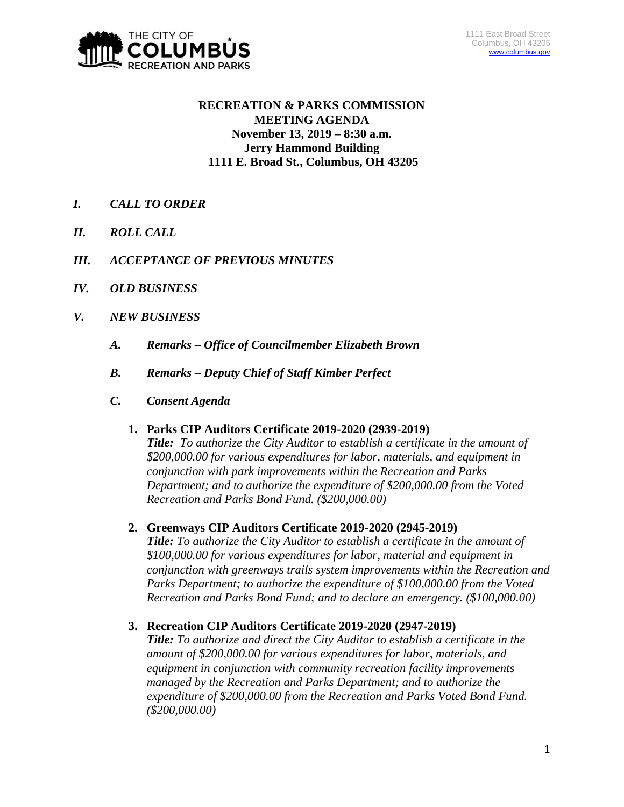

# **RECREATION & PARKS COMMISSION MEETING AGENDA November 13, 2019 – 8:30 a.m. Jerry Hammond Building 1111 E. Broad St., Columbus, OH 43205**

- *I. CALL TO ORDER*
- *II. ROLL CALL*
- *III. ACCEPTANCE OF PREVIOUS MINUTES*
- *IV. OLD BUSINESS*
- *V. NEW BUSINESS*
	- *A. Remarks – Office of Councilmember Elizabeth Brown*
	- *B. Remarks – Deputy Chief of Staff Kimber Perfect*
	- *C. Consent Agenda*

## **1. Parks CIP Auditors Certificate 2019-2020 (2939-2019)**

*Title: To authorize the City Auditor to establish a certificate in the amount of \$200,000.00 for various expenditures for labor, materials, and equipment in conjunction with park improvements within the Recreation and Parks Department; and to authorize the expenditure of \$200,000.00 from the Voted Recreation and Parks Bond Fund. (\$200,000.00)*

# **2. Greenways CIP Auditors Certificate 2019-2020 (2945-2019)**

*Title: To authorize the City Auditor to establish a certificate in the amount of \$100,000.00 for various expenditures for labor, material and equipment in conjunction with greenways trails system improvements within the Recreation and Parks Department; to authorize the expenditure of \$100,000.00 from the Voted Recreation and Parks Bond Fund; and to declare an emergency. (\$100,000.00)*

# **3. Recreation CIP Auditors Certificate 2019-2020 (2947-2019)**

*Title: To authorize and direct the City Auditor to establish a certificate in the amount of \$200,000.00 for various expenditures for labor, materials, and equipment in conjunction with community recreation facility improvements managed by the Recreation and Parks Department; and to authorize the expenditure of \$200,000.00 from the Recreation and Parks Voted Bond Fund. (\$200,000.00)*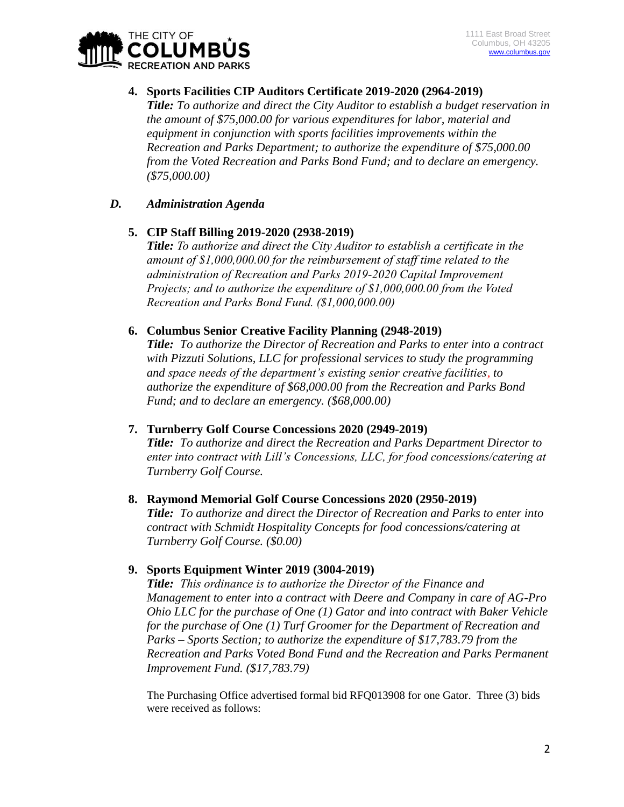

### **4. Sports Facilities CIP Auditors Certificate 2019-2020 (2964-2019)**

*Title: To authorize and direct the City Auditor to establish a budget reservation in the amount of \$75,000.00 for various expenditures for labor, material and equipment in conjunction with sports facilities improvements within the Recreation and Parks Department; to authorize the expenditure of \$75,000.00 from the Voted Recreation and Parks Bond Fund; and to declare an emergency. (\$75,000.00)*

## *D. Administration Agenda*

### **5. CIP Staff Billing 2019-2020 (2938-2019)**

*Title: To authorize and direct the City Auditor to establish a certificate in the amount of \$1,000,000.00 for the reimbursement of staff time related to the administration of Recreation and Parks 2019-2020 Capital Improvement Projects; and to authorize the expenditure of \$1,000,000.00 from the Voted Recreation and Parks Bond Fund. (\$1,000,000.00)*

### **6. Columbus Senior Creative Facility Planning (2948-2019)**

*Title: To authorize the Director of Recreation and Parks to enter into a contract with Pizzuti Solutions, LLC for professional services to study the programming and space needs of the department's existing senior creative facilities, to authorize the expenditure of \$68,000.00 from the Recreation and Parks Bond Fund; and to declare an emergency. (\$68,000.00)*

## **7. Turnberry Golf Course Concessions 2020 (2949-2019)**

*Title: To authorize and direct the Recreation and Parks Department Director to enter into contract with Lill's Concessions, LLC, for food concessions/catering at Turnberry Golf Course.*

#### **8. Raymond Memorial Golf Course Concessions 2020 (2950-2019)**

*Title: To authorize and direct the Director of Recreation and Parks to enter into contract with Schmidt Hospitality Concepts for food concessions/catering at Turnberry Golf Course. (\$0.00)*

## **9. Sports Equipment Winter 2019 (3004-2019)**

*Title: This ordinance is to authorize the Director of the Finance and Management to enter into a contract with Deere and Company in care of AG-Pro Ohio LLC for the purchase of One (1) Gator and into contract with Baker Vehicle for the purchase of One (1) Turf Groomer for the Department of Recreation and Parks – Sports Section; to authorize the expenditure of \$17,783.79 from the Recreation and Parks Voted Bond Fund and the Recreation and Parks Permanent Improvement Fund. (\$17,783.79)*

The Purchasing Office advertised formal bid RFQ013908 for one Gator. Three (3) bids were received as follows: